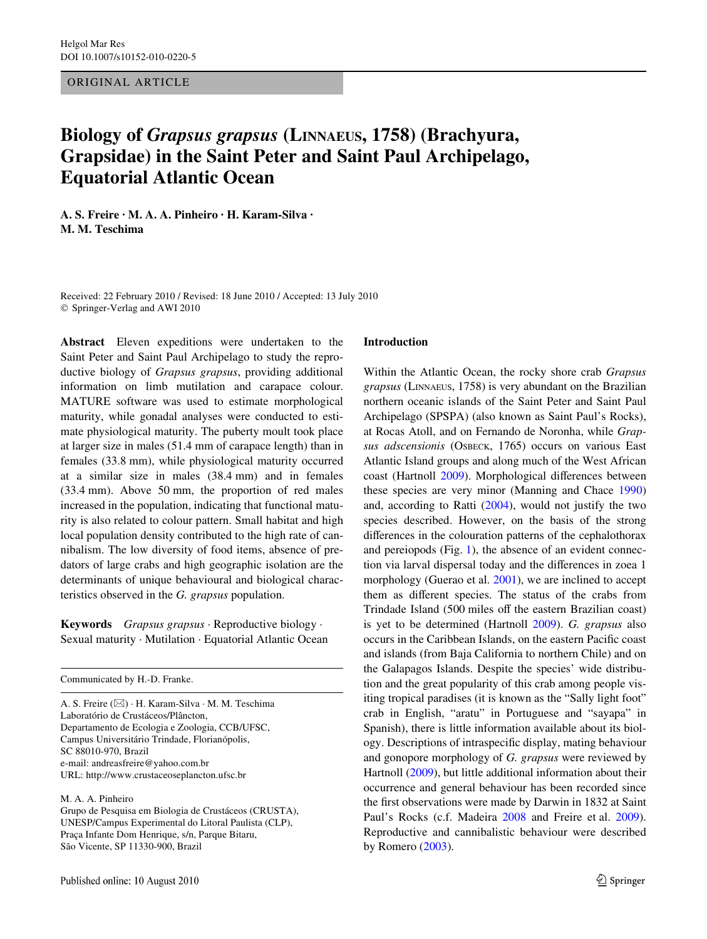ORIGINAL ARTICLE

# **Biology of** *Grapsus grapsus* **(LINNAEUS, 1758) (Brachyura, Grapsidae) in the Saint Peter and Saint Paul Archipelago, Equatorial Atlantic Ocean**

**A. S. Freire · M. A. A. Pinheiro · H. Karam-Silva · M. M. Teschima** 

Received: 22 February 2010 / Revised: 18 June 2010 / Accepted: 13 July 2010 © Springer-Verlag and AWI 2010

**Abstract** Eleven expeditions were undertaken to the Saint Peter and Saint Paul Archipelago to study the reproductive biology of *Grapsus grapsus*, providing additional information on limb mutilation and carapace colour. MATURE software was used to estimate morphological maturity, while gonadal analyses were conducted to estimate physiological maturity. The puberty moult took place at larger size in males (51.4 mm of carapace length) than in females (33.8 mm), while physiological maturity occurred at a similar size in males (38.4 mm) and in females (33.4 mm). Above 50 mm, the proportion of red males increased in the population, indicating that functional maturity is also related to colour pattern. Small habitat and high local population density contributed to the high rate of cannibalism. The low diversity of food items, absence of predators of large crabs and high geographic isolation are the determinants of unique behavioural and biological characteristics observed in the *G. grapsus* population.

**Keywords** *Grapsus grapsus* · Reproductive biology · Sexual maturity · Mutilation · Equatorial Atlantic Ocean

Communicated by H.-D. Franke.

A. S. Freire (&) · H. Karam-Silva · M. M. Teschima Laboratório de Crustáceos/Plâncton, Departamento de Ecologia e Zoologia, CCB/UFSC, Campus Universitário Trindade, Florianópolis, SC 88010-970, Brazil e-mail: andreasfreire@yahoo.com.br URL: http://www.crustaceoseplancton.ufsc.br

#### M. A. A. Pinheiro

Grupo de Pesquisa em Biologia de Crustáceos (CRUSTA), UNESP/Campus Experimental do Litoral Paulista (CLP), Praça Infante Dom Henrique, s/n, Parque Bitaru, São Vicente, SP 11330-900, Brazil

#### **Introduction**

Within the Atlantic Ocean, the rocky shore crab *Grapsus grapsus* (LINNAEUS, 1758) is very abundant on the Brazilian northern oceanic islands of the Saint Peter and Saint Paul Archipelago (SPSPA) (also known as Saint Paul's Rocks), at Rocas Atoll, and on Fernando de Noronha, while *Grapsus adscensionis* (OSBECK, 1765) occurs on various East Atlantic Island groups and along much of the West African coast (Hartnoll [2009\)](#page-9-0). Morphological differences between these species are very minor (Manning and Chace [1990\)](#page-10-0) and, according to Ratti ([2004\)](#page-10-1), would not justify the two species described. However, on the basis of the strong differences in the colouration patterns of the cephalothorax and pereiopods (Fig. [1](#page-1-0)), the absence of an evident connection via larval dispersal today and the differences in zoea 1 morphology (Guerao et al. [2001](#page-9-1)), we are inclined to accept them as different species. The status of the crabs from Trindade Island (500 miles off the eastern Brazilian coast) is yet to be determined (Hartnoll [2009\)](#page-9-0). *G. grapsus* also occurs in the Caribbean Islands, on the eastern Pacific coast and islands (from Baja California to northern Chile) and on the Galapagos Islands. Despite the species' wide distribution and the great popularity of this crab among people visiting tropical paradises (it is known as the "Sally light foot" crab in English, "aratu" in Portuguese and "sayapa" in Spanish), there is little information available about its biology. Descriptions of intraspecific display, mating behaviour and gonopore morphology of *G. grapsus* were reviewed by Hartnoll [\(2009](#page-9-0)), but little additional information about their occurrence and general behaviour has been recorded since the first observations were made by Darwin in 1832 at Saint Paul's Rocks (c.f. Madeira [2008](#page-10-2) and Freire et al. [2009](#page-9-2)). Reproductive and cannibalistic behaviour were described by Romero ([2003\)](#page-10-3).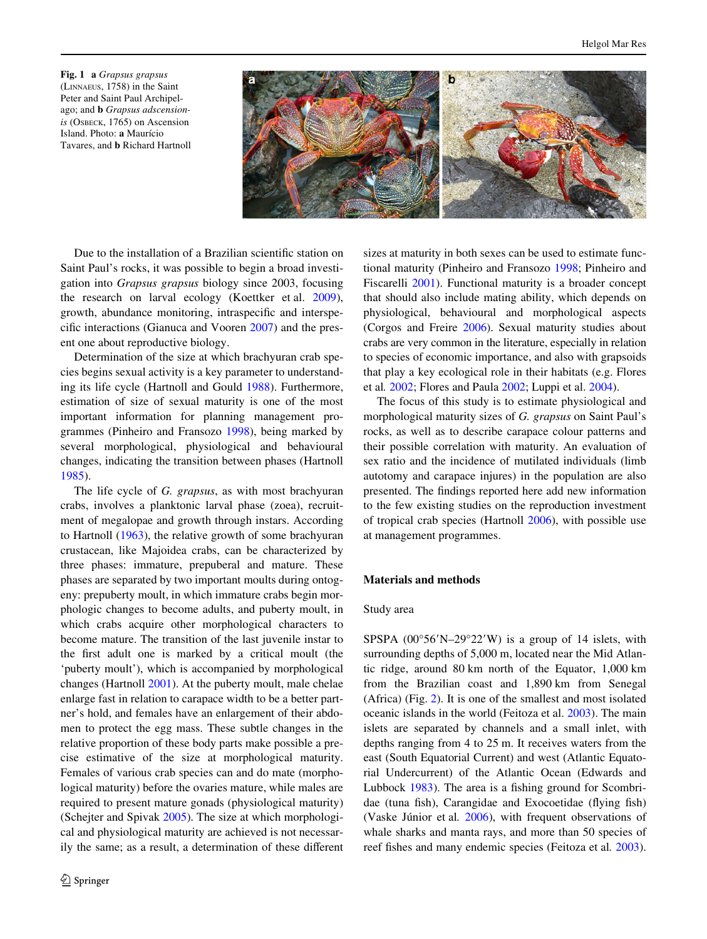<span id="page-1-0"></span>**Fig. 1 a** *Grapsus grapsus* (LINNAEUS, 1758) in the Saint Peter and Saint Paul Archipelago; and **b** *Grapsus adscensionis* (OSBECK, 1765) on Ascension Island. Photo: **a** Maurício Tavares, and **b** Richard Hartnoll



Due to the installation of a Brazilian scientific station on Saint Paul's rocks, it was possible to begin a broad investigation into *Grapsus grapsus* biology since 2003, focusing the research on larval ecology (Koettker et al. [2009](#page-9-3)), growth, abundance monitoring, intraspecific and interspecific interactions (Gianuca and Vooren  $2007$ ) and the present one about reproductive biology.

Determination of the size at which brachyuran crab species begins sexual activity is a key parameter to understanding its life cycle (Hartnoll and Gould [1988\)](#page-9-5). Furthermore, estimation of size of sexual maturity is one of the most important information for planning management programmes (Pinheiro and Fransozo [1998](#page-10-4)), being marked by several morphological, physiological and behavioural changes, indicating the transition between phases (Hartnoll [1985](#page-9-6)).

The life cycle of *G. grapsus*, as with most brachyuran crabs, involves a planktonic larval phase (zoea), recruitment of megalopae and growth through instars. According to Hartnoll [\(1963](#page-9-7)), the relative growth of some brachyuran crustacean, like Majoidea crabs, can be characterized by three phases: immature, prepuberal and mature. These phases are separated by two important moults during ontogeny: prepuberty moult, in which immature crabs begin morphologic changes to become adults, and puberty moult, in which crabs acquire other morphological characters to become mature. The transition of the last juvenile instar to the first adult one is marked by a critical moult (the 'puberty moult'), which is accompanied by morphological changes (Hartnoll [2001\)](#page-9-8). At the puberty moult, male chelae enlarge fast in relation to carapace width to be a better partner's hold, and females have an enlargement of their abdomen to protect the egg mass. These subtle changes in the relative proportion of these body parts make possible a precise estimative of the size at morphological maturity. Females of various crab species can and do mate (morphological maturity) before the ovaries mature, while males are required to present mature gonads (physiological maturity) (Schejter and Spivak [2005](#page-10-5)). The size at which morphological and physiological maturity are achieved is not necessarily the same; as a result, a determination of these different sizes at maturity in both sexes can be used to estimate functional maturity (Pinheiro and Fransozo [1998;](#page-10-4) Pinheiro and Fiscarelli [2001](#page-10-6)). Functional maturity is a broader concept that should also include mating ability, which depends on physiological, behavioural and morphological aspects (Corgos and Freire [2006\)](#page-9-9). Sexual maturity studies about crabs are very common in the literature, especially in relation to species of economic importance, and also with grapsoids that play a key ecological role in their habitats (e.g. Flores et al*.* [2002](#page-9-10); Flores and Paula [2002](#page-9-11); Luppi et al. [2004\)](#page-9-12).

The focus of this study is to estimate physiological and morphological maturity sizes of *G. grapsus* on Saint Paul's rocks, as well as to describe carapace colour patterns and their possible correlation with maturity. An evaluation of sex ratio and the incidence of mutilated individuals (limb autotomy and carapace injures) in the population are also presented. The findings reported here add new information to the few existing studies on the reproduction investment of tropical crab species (Hartnoll [2006\)](#page-9-13), with possible use at management programmes.

## **Materials and methods**

#### Study area

SPSPA  $(00^{\circ}56'N-29^{\circ}22'W)$  is a group of 14 islets, with surrounding depths of 5,000 m, located near the Mid Atlantic ridge, around 80 km north of the Equator, 1,000 km from the Brazilian coast and 1,890 km from Senegal (Africa) (Fig. [2\)](#page-2-0). It is one of the smallest and most isolated oceanic islands in the world (Feitoza et al. [2003\)](#page-9-14). The main islets are separated by channels and a small inlet, with depths ranging from 4 to 25 m. It receives waters from the east (South Equatorial Current) and west (Atlantic Equatorial Undercurrent) of the Atlantic Ocean (Edwards and Lubbock  $1983$ ). The area is a fishing ground for Scombridae (tuna fish), Carangidae and Exocoetidae (flying fish) (Vaske Júnior et al*.* [2006\)](#page-10-7), with frequent observations of whale sharks and manta rays, and more than 50 species of reef fishes and many endemic species (Feitoza et al. [2003](#page-9-14)).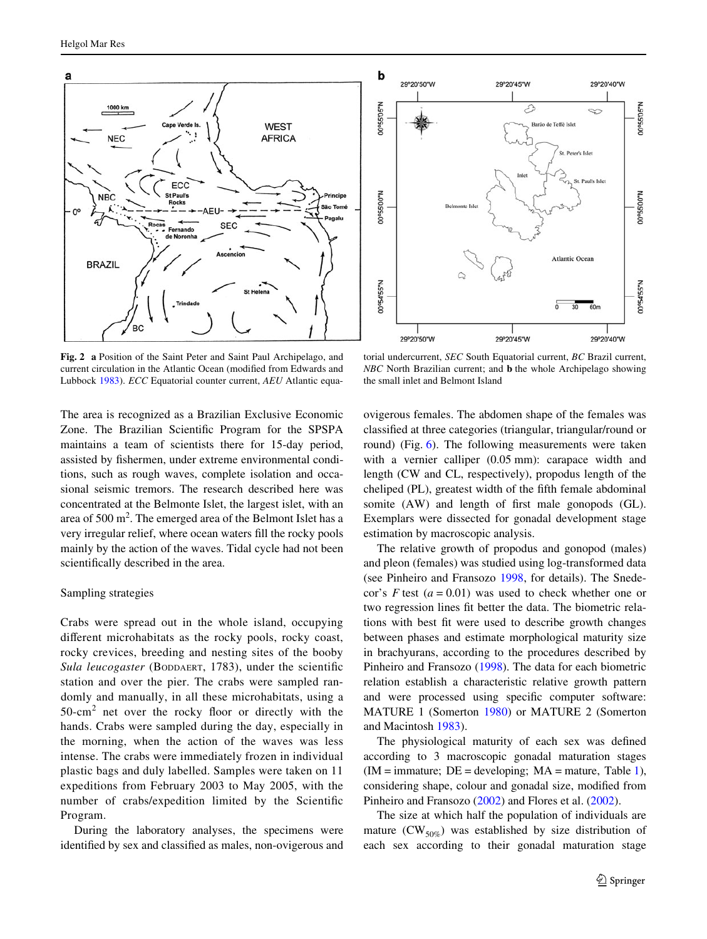

<span id="page-2-0"></span>**Fig. 2 a** Position of the Saint Peter and Saint Paul Archipelago, and current circulation in the Atlantic Ocean (modified from Edwards and Lubbock [1983\)](#page-9-15). *ECC* Equatorial counter current, *AEU* Atlantic equa-



torial undercurrent, *SEC* South Equatorial current, *BC* Brazil current, *NBC* North Brazilian current; and **b** the whole Archipelago showing the small inlet and Belmont Island

The area is recognized as a Brazilian Exclusive Economic Zone. The Brazilian Scientific Program for the SPSPA maintains a team of scientists there for 15-day period, assisted by fishermen, under extreme environmental conditions, such as rough waves, complete isolation and occasional seismic tremors. The research described here was concentrated at the Belmonte Islet, the largest islet, with an area of  $500 \text{ m}^2$ . The emerged area of the Belmont Islet has a very irregular relief, where ocean waters fill the rocky pools mainly by the action of the waves. Tidal cycle had not been scientifically described in the area.

## Sampling strategies

Crabs were spread out in the whole island, occupying different microhabitats as the rocky pools, rocky coast, rocky crevices, breeding and nesting sites of the booby *Sula leucogaster* (BODDAERT, 1783), under the scientific station and over the pier. The crabs were sampled randomly and manually, in all these microhabitats, using a  $50$ -cm<sup>2</sup> net over the rocky floor or directly with the hands. Crabs were sampled during the day, especially in the morning, when the action of the waves was less intense. The crabs were immediately frozen in individual plastic bags and duly labelled. Samples were taken on 11 expeditions from February 2003 to May 2005, with the number of crabs/expedition limited by the Scientific Program.

During the laboratory analyses, the specimens were identified by sex and classified as males, non-ovigerous and ovigerous females. The abdomen shape of the females was classified at three categories (triangular, triangular/round or round) (Fig. [6\)](#page-5-0). The following measurements were taken with a vernier calliper  $(0.05 \text{ mm})$ : carapace width and length (CW and CL, respectively), propodus length of the cheliped (PL), greatest width of the fifth female abdominal somite (AW) and length of first male gonopods (GL). Exemplars were dissected for gonadal development stage estimation by macroscopic analysis.

The relative growth of propodus and gonopod (males) and pleon (females) was studied using log-transformed data (see Pinheiro and Fransozo [1998](#page-10-4), for details). The Snedecor's  $F$  test ( $a = 0.01$ ) was used to check whether one or two regression lines fit better the data. The biometric relations with best fit were used to describe growth changes between phases and estimate morphological maturity size in brachyurans, according to the procedures described by Pinheiro and Fransozo [\(1998](#page-10-4)). The data for each biometric relation establish a characteristic relative growth pattern and were processed using specific computer software: MATURE 1 (Somerton [1980](#page-10-8)) or MATURE 2 (Somerton and Macintosh [1983\)](#page-10-9).

The physiological maturity of each sex was defined according to 3 macroscopic gonadal maturation stages  $(IM = \text{immature}; DE = \text{developing}; MA = \text{mature}, \text{Table 1}),$ considering shape, colour and gonadal size, modified from Pinheiro and Fransozo ([2002\)](#page-10-10) and Flores et al. [\(2002](#page-9-10)).

The size at which half the population of individuals are mature  $(CW_{50\%})$  was established by size distribution of each sex according to their gonadal maturation stage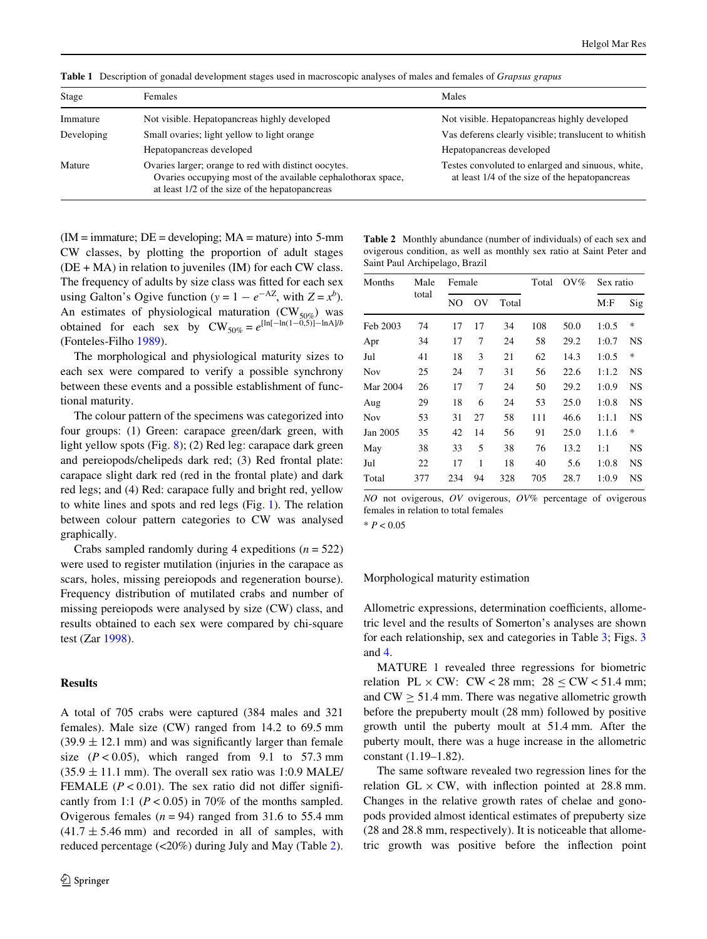| Stage      | <b>Females</b>                                                                                                                                                         | Males                                                                                               |
|------------|------------------------------------------------------------------------------------------------------------------------------------------------------------------------|-----------------------------------------------------------------------------------------------------|
| Immature   | Not visible. Hepatopancreas highly developed                                                                                                                           | Not visible. Hepatopancreas highly developed                                                        |
| Developing | Small ovaries; light yellow to light orange                                                                                                                            | Vas deferens clearly visible; translucent to whitish                                                |
|            | Hepatopancreas developed                                                                                                                                               | Hepatopancreas developed                                                                            |
| Mature     | Ovaries larger; orange to red with distinct opcytes.<br>Ovaries occupying most of the available cephalothorax space,<br>at least 1/2 of the size of the hepatopancreas | Testes convoluted to enlarged and sinuous, white,<br>at least 1/4 of the size of the hepatopancreas |

<span id="page-3-0"></span>**Table 1** Description of gonadal development stages used in macroscopic analyses of males and females of *Grapsus grapus*

 $(IM = \text{immature}; DE = \text{developing}; MA = \text{mature})$  into 5-mm CW classes, by plotting the proportion of adult stages  $(DE + MA)$  in relation to juveniles  $(IM)$  for each CW class. The frequency of adults by size class was fitted for each sex using Galton's Ogive function ( $y = 1 - e^{-AZ}$ , with  $Z = x^b$ ). An estimates of physiological maturation  $(CW_{50\%})$  was obtained for each sex by  $CW_{50\%} = e^{\left[\ln[-\ln(1-\tilde{0},5)] - \ln(A)\right/b}$ (Fonteles-Filho [1989](#page-9-16)).

The morphological and physiological maturity sizes to each sex were compared to verify a possible synchrony between these events and a possible establishment of functional maturity.

The colour pattern of the specimens was categorized into four groups: (1) Green: carapace green/dark green, with light yellow spots (Fig. [8\)](#page-6-0); (2) Red leg: carapace dark green and pereiopods/chelipeds dark red; (3) Red frontal plate: carapace slight dark red (red in the frontal plate) and dark red legs; and (4) Red: carapace fully and bright red, yellow to white lines and spots and red legs (Fig. [1\)](#page-1-0). The relation between colour pattern categories to CW was analysed graphically.

Crabs sampled randomly during 4 expeditions (*n* = 522) were used to register mutilation (injuries in the carapace as scars, holes, missing pereiopods and regeneration bourse). Frequency distribution of mutilated crabs and number of missing pereiopods were analysed by size (CW) class, and results obtained to each sex were compared by chi-square test (Zar [1998](#page-10-11)).

# **Results**

A total of 705 crabs were captured (384 males and 321 females). Male size (CW) ranged from 14.2 to 69.5 mm  $(39.9 \pm 12.1 \text{ mm})$  and was significantly larger than female size  $(P < 0.05)$ , which ranged from 9.1 to 57.3 mm  $(35.9 \pm 11.1 \text{ mm})$ . The overall sex ratio was 1:0.9 MALE/ FEMALE ( $P < 0.01$ ). The sex ratio did not differ significantly from 1:1 ( $P < 0.05$ ) in 70% of the months sampled. Ovigerous females  $(n = 94)$  ranged from 31.6 to 55.4 mm  $(41.7 \pm 5.46 \text{ mm})$  and recorded in all of samples, with reduced percentage (<20%) during July and May (Table [2](#page-3-1)).

<span id="page-3-1"></span>

|         | <b>Table 2</b> Monthly abundance (number of individuals) of each sex and |                                                                                                                                  |  |  |
|---------|--------------------------------------------------------------------------|----------------------------------------------------------------------------------------------------------------------------------|--|--|
|         | ovigerous condition, as well as monthly sex ratio at Saint Peter and     |                                                                                                                                  |  |  |
|         | Saint Paul Archipelago, Brazil                                           |                                                                                                                                  |  |  |
| $M = 1$ |                                                                          | $\mathbf{T} \cdot \mathbf{L}$ $\mathbf{I}$ $\mathbf{O} \cdot \mathbf{M}$ $\mathbf{C}$ $\mathbf{C}$ $\mathbf{L} \cdot \mathbf{L}$ |  |  |

| Months   | Male  | Female |    |       | Total | $O V\%$ | Sex ratio |           |
|----------|-------|--------|----|-------|-------|---------|-----------|-----------|
|          | total | NO     | OV | Total |       |         | M:F       | Sig       |
| Feb 2003 | 74    | 17     | 17 | 34    | 108   | 50.0    | 1:0.5     | $\ast$    |
| Apr      | 34    | 17     | 7  | 24    | 58    | 29.2    | 1:0.7     | <b>NS</b> |
| Jul      | 41    | 18     | 3  | 21    | 62    | 14.3    | 1:0.5     | *         |
| Nov      | 25    | 24     | 7  | 31    | 56    | 22.6    | 1:1.2     | <b>NS</b> |
| Mar 2004 | 26    | 17     | 7  | 24    | 50    | 29.2    | 1:0.9     | <b>NS</b> |
| Aug      | 29    | 18     | 6  | 24    | 53    | 25.0    | 1:0.8     | <b>NS</b> |
| Nov      | 53    | 31     | 27 | 58    | 111   | 46.6    | 1:1.1     | <b>NS</b> |
| Jan 2005 | 35    | 42     | 14 | 56    | 91    | 25.0    | 1.1.6     | $\ast$    |
| May      | 38    | 33     | 5  | 38    | 76    | 13.2    | 1:1       | <b>NS</b> |
| Jul      | 22    | 17     | 1  | 18    | 40    | 5.6     | 1:0.8     | <b>NS</b> |
| Total    | 377   | 234    | 94 | 328   | 705   | 28.7    | 1:0.9     | <b>NS</b> |

*NO* not ovigerous, *OV* ovigerous, *OV%* percentage of ovigerous females in relation to total females

\* *P* < 0.05

## Morphological maturity estimation

Allometric expressions, determination coefficients, allometric level and the results of Somerton's analyses are shown for each relationship, sex and categories in Table [3;](#page-4-0) Figs. [3](#page-4-1) and [4](#page-4-2).

MATURE 1 revealed three regressions for biometric relation PL  $\times$  CW: CW < 28 mm; 28 < CW < 51.4 mm; and  $CW > 51.4$  mm. There was negative allometric growth before the prepuberty moult (28 mm) followed by positive growth until the puberty moult at 51.4 mm. After the puberty moult, there was a huge increase in the allometric constant (1.19–1.82).

The same software revealed two regression lines for the relation GL  $\times$  CW, with inflection pointed at 28.8 mm. Changes in the relative growth rates of chelae and gonopods provided almost identical estimates of prepuberty size (28 and 28.8 mm, respectively). It is noticeable that allometric growth was positive before the inflection point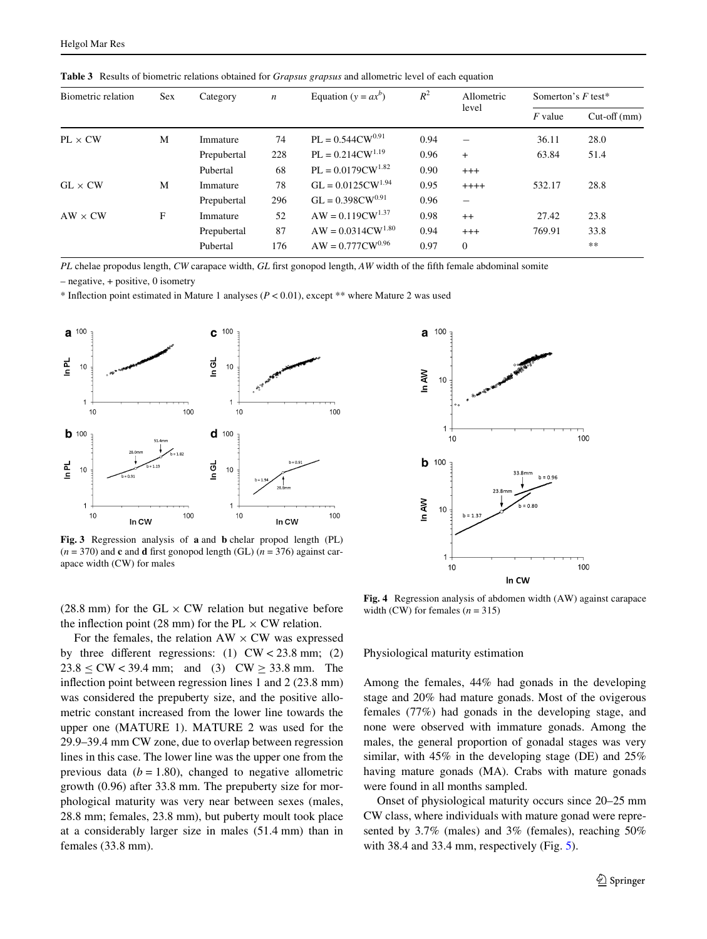| Biometric relation | Sex | Category    | $\boldsymbol{n}$ | Equation ( $y = ax^b$ ) | $R^2$ | Allometric<br>level      | Somerton's $F$ test* |               |
|--------------------|-----|-------------|------------------|-------------------------|-------|--------------------------|----------------------|---------------|
|                    |     |             |                  |                         |       |                          | $F$ value            | $Cut-off(mm)$ |
| $PL \times CW$     | M   | Immature    | 74               | $PL = 0.544CW^{0.91}$   | 0.94  |                          | 36.11                | 28.0          |
|                    |     | Prepubertal | 228              | $PL = 0.214CW^{1.19}$   | 0.96  | $+$                      | 63.84                | 51.4          |
|                    |     | Pubertal    | 68               | $PL = 0.0179CW^{1.82}$  | 0.90  | $+++$                    |                      |               |
| $GL \times CW$     | M   | Immature    | 78               | $GL = 0.0125 CW^{1.94}$ | 0.95  | $++++$                   | 532.17               | 28.8          |
|                    |     | Prepubertal | 296              | $GL = 0.398CW^{0.91}$   | 0.96  | $\overline{\phantom{0}}$ |                      |               |
| $AW \times CW$     | F   | Immature    | 52               | $AW = 0.119CW^{1.37}$   | 0.98  | $++$                     | 27.42                | 23.8          |
|                    |     | Prepubertal | 87               | $AW = 0.0314CW^{1.80}$  | 0.94  | $+++$                    | 769.91               | 33.8          |
|                    |     | Pubertal    | 176              | $AW = 0.777 CW^{0.96}$  | 0.97  | $\Omega$                 |                      | $***$         |

<span id="page-4-0"></span>**Table 3** Results of biometric relations obtained for *Grapsus grapsus* and allometric level of each equation

*PL* chelae propodus length, *CW* carapace width, *GL* first gonopod length, *AW* width of the fifth female abdominal somite

– negative, + positive, 0 isometry

\* Inflection point estimated in Mature 1 analyses  $(P < 0.01)$ , except \*\* where Mature 2 was used



<span id="page-4-1"></span>**Fig. 3** Regression analysis of **a** and **b** chelar propod length (PL)  $(n = 370)$  and **c** and **d** first gonopod length (GL)  $(n = 376)$  against carapace width (CW) for males

(28.8 mm) for the GL  $\times$  CW relation but negative before the inflection point (28 mm) for the PL  $\times$  CW relation.

For the females, the relation  $AW \times CW$  was expressed by three different regressions: (1)  $CW < 23.8$  mm; (2)  $23.8 < CW < 39.4$  mm; and (3)  $CW > 33.8$  mm. The inflection point between regression lines 1 and  $2$  (23.8 mm) was considered the prepuberty size, and the positive allometric constant increased from the lower line towards the upper one (MATURE 1). MATURE 2 was used for the 29.9–39.4 mm CW zone, due to overlap between regression lines in this case. The lower line was the upper one from the previous data  $(b = 1.80)$ , changed to negative allometric growth (0.96) after 33.8 mm. The prepuberty size for morphological maturity was very near between sexes (males, 28.8 mm; females, 23.8 mm), but puberty moult took place at a considerably larger size in males (51.4 mm) than in females (33.8 mm).



<span id="page-4-2"></span>**Fig. 4** Regression analysis of abdomen width (AW) against carapace width (CW) for females  $(n = 315)$ 

Physiological maturity estimation

Among the females, 44% had gonads in the developing stage and 20% had mature gonads. Most of the ovigerous females (77%) had gonads in the developing stage, and none were observed with immature gonads. Among the males, the general proportion of gonadal stages was very similar, with 45% in the developing stage (DE) and 25% having mature gonads (MA). Crabs with mature gonads were found in all months sampled.

Onset of physiological maturity occurs since 20–25 mm CW class, where individuals with mature gonad were represented by 3.7% (males) and 3% (females), reaching 50% with 38.4 and 33.4 mm, respectively (Fig. [5](#page-5-1)).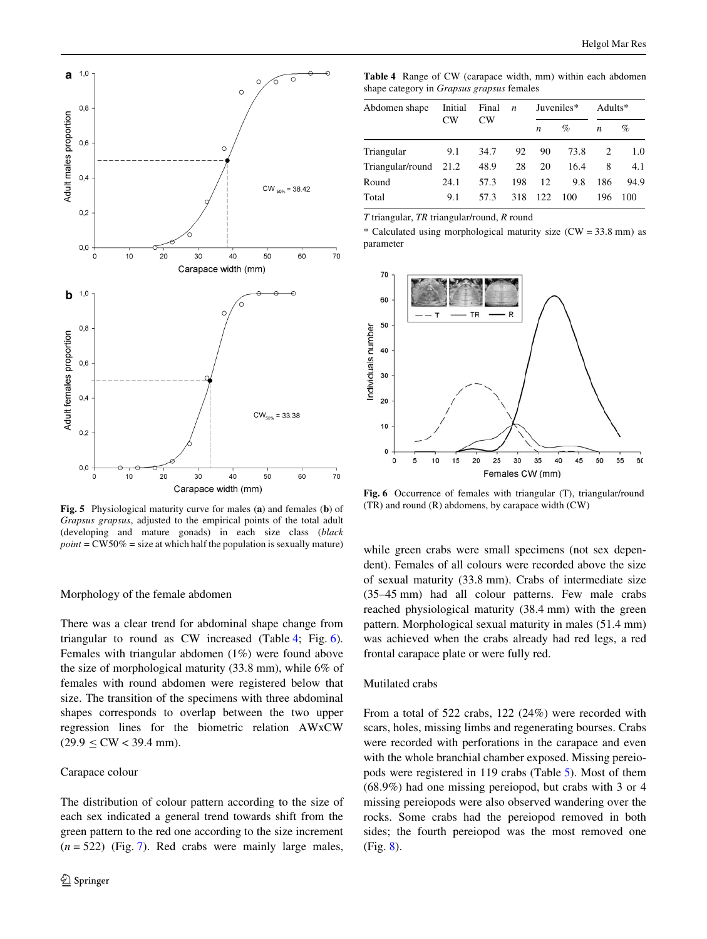

<span id="page-5-1"></span>**Fig. 5** Physiological maturity curve for males (**a**) and females (**b**) of *Grapsus grapsus*, adjusted to the empirical points of the total adult (developing and mature gonads) in each size class (*black*  $point = CW50\% = size$  at which half the population is sexually mature)

# Morphology of the female abdomen

There was a clear trend for abdominal shape change from triangular to round as CW increased (Table [4](#page-5-2); Fig. [6](#page-5-0)). Females with triangular abdomen (1%) were found above the size of morphological maturity (33.8 mm), while 6% of females with round abdomen were registered below that size. The transition of the specimens with three abdominal shapes corresponds to overlap between the two upper regression lines for the biometric relation AWxCW  $(29.9 \leq$  CW < 39.4 mm).

#### Carapace colour

The distribution of colour pattern according to the size of each sex indicated a general trend towards shift from the green pattern to the red one according to the size increment  $(n = 522)$  (Fig. [7](#page-6-1)). Red crabs were mainly large males,

<span id="page-5-2"></span>**Table 4** Range of CW (carapace width, mm) within each abdomen shape category in *Grapsus grapsus* females

| Abdomen shape         | Initial<br>CW <sub></sub> | Final<br>CW <sub></sub> | $\overline{n}$ | Juveniles*       |      | Adults*          |      |
|-----------------------|---------------------------|-------------------------|----------------|------------------|------|------------------|------|
|                       |                           |                         |                | $\boldsymbol{n}$ | $\%$ | $\boldsymbol{n}$ | %    |
| Triangular            | 9.1                       | 34.7                    | 92             | 90               | 73.8 |                  | 1.0  |
| Triangular/round 21.2 |                           | 48.9                    | 28             | 20               | 16.4 | 8                | 4.1  |
| Round                 | 24.1                      | 57.3                    | 198            | 12               | 9.8  | 186              | 94.9 |
| Total                 | 9.1                       | 57.3                    | 318            | 122              | 100  | 196              | 100  |

*T* triangular, *TR* triangular/round, *R* round

\* Calculated using morphological maturity size  $(CW = 33.8 \text{ mm})$  as parameter



<span id="page-5-0"></span>**Fig. 6** Occurrence of females with triangular (T), triangular/round (TR) and round (R) abdomens, by carapace width (CW)

while green crabs were small specimens (not sex dependent). Females of all colours were recorded above the size of sexual maturity (33.8 mm). Crabs of intermediate size (35–45 mm) had all colour patterns. Few male crabs reached physiological maturity (38.4 mm) with the green pattern. Morphological sexual maturity in males (51.4 mm) was achieved when the crabs already had red legs, a red frontal carapace plate or were fully red.

#### Mutilated crabs

From a total of 522 crabs, 122 (24%) were recorded with scars, holes, missing limbs and regenerating bourses. Crabs were recorded with perforations in the carapace and even with the whole branchial chamber exposed. Missing pereiopods were registered in 119 crabs (Table [5](#page-6-2)). Most of them (68.9%) had one missing pereiopod, but crabs with 3 or 4 missing pereiopods were also observed wandering over the rocks. Some crabs had the pereiopod removed in both sides; the fourth pereiopod was the most removed one (Fig. [8\)](#page-6-0).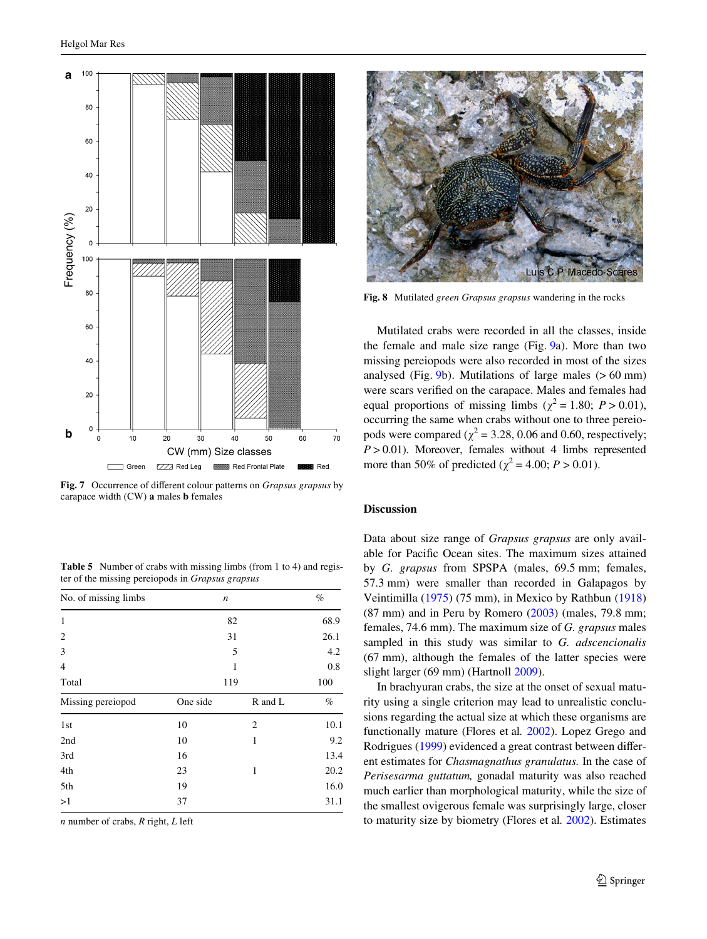

<span id="page-6-1"></span>Fig. 7 Occurrence of different colour patterns on *Grapsus grapsus* by carapace width (CW) **a** males **b** females

<span id="page-6-2"></span>**Table 5** Number of crabs with missing limbs (from 1 to 4) and register of the missing pereiopods in *Grapsus grapsus*

| No. of missing limbs | n        |         | $\%$ |
|----------------------|----------|---------|------|
| 1                    | 82       | 68.9    |      |
| $\overline{c}$       | 31       | 26.1    |      |
| 3                    |          | 4.2     |      |
| 4                    |          | 0.8     |      |
| Total                | 119      |         | 100  |
| Missing pereiopod    | One side | R and L | $\%$ |
| 1st                  | 10       | 2       | 10.1 |
| 2nd                  | 10       | 1       | 9.2  |
| 3rd                  | 16       |         | 13.4 |
| 4th                  | 23       | 1       | 20.2 |
| 5th                  | 19       |         | 16.0 |
| >1                   | 37       |         | 31.1 |

*n* number of crabs, *R* right, *L* left



**Fig. 8** Mutilated *green Grapsus grapsus* wandering in the rocks

<span id="page-6-0"></span>Mutilated crabs were recorded in all the classes, inside the female and male size range (Fig. [9a](#page-7-0)). More than two missing pereiopods were also recorded in most of the sizes analysed (Fig.  $9b$ ). Mutilations of large males ( $> 60$  mm) were scars verified on the carapace. Males and females had equal proportions of missing limbs ( $\chi^2 = 1.80$ ;  $P > 0.01$ ), occurring the same when crabs without one to three pereiopods were compared ( $\chi^2$  = 3.28, 0.06 and 0.60, respectively;  $P > 0.01$ ). Moreover, females without 4 limbs represented more than 50% of predicted ( $\chi^2$  = 4.00; *P* > 0.01).

## **Discussion**

Data about size range of *Grapsus grapsus* are only available for Pacific Ocean sites. The maximum sizes attained by *G. grapsus* from SPSPA (males, 69.5 mm; females, 57.3 mm) were smaller than recorded in Galapagos by Veintimilla ([1975\)](#page-10-12) (75 mm), in Mexico by Rathbun ([1918\)](#page-10-13)  $(87 \text{ mm})$  and in Peru by Romero  $(2003)$  $(2003)$  (males, 79.8 mm; females, 74.6 mm). The maximum size of *G. grapsus* males sampled in this study was similar to *G. adscencionalis* (67 mm), although the females of the latter species were slight larger (69 mm) (Hartnoll [2009\)](#page-9-0).

In brachyuran crabs, the size at the onset of sexual maturity using a single criterion may lead to unrealistic conclusions regarding the actual size at which these organisms are functionally mature (Flores et al*.* [2002\)](#page-9-10). Lopez Grego and Rodrigues ([1999\)](#page-9-17) evidenced a great contrast between different estimates for *Chasmagnathus granulatus.* In the case of *Perisesarma guttatum,* gonadal maturity was also reached much earlier than morphological maturity, while the size of the smallest ovigerous female was surprisingly large, closer to maturity size by biometry (Flores et al*.* [2002\)](#page-9-10). Estimates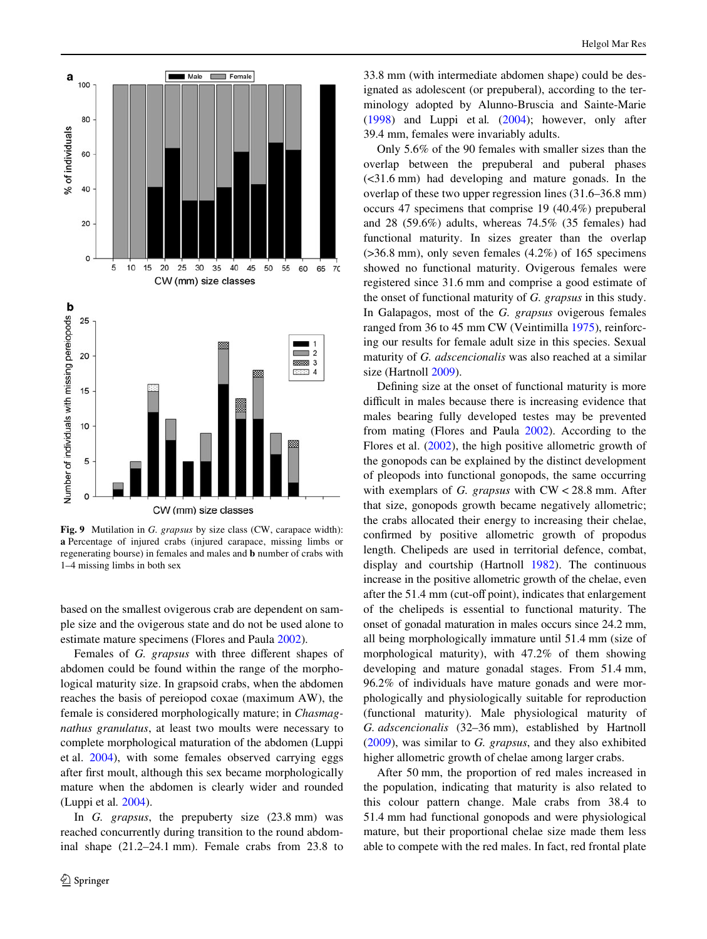

<span id="page-7-0"></span>**Fig. 9** Mutilation in *G. grapsus* by size class (CW, carapace width): **a** Percentage of injured crabs (injured carapace, missing limbs or regenerating bourse) in females and males and **b** number of crabs with 1–4 missing limbs in both sex

based on the smallest ovigerous crab are dependent on sample size and the ovigerous state and do not be used alone to estimate mature specimens (Flores and Paula [2002\)](#page-9-11).

Females of *G. grapsus* with three different shapes of abdomen could be found within the range of the morphological maturity size. In grapsoid crabs, when the abdomen reaches the basis of pereiopod coxae (maximum AW), the female is considered morphologically mature; in *Chasmagnathus granulatus*, at least two moults were necessary to complete morphological maturation of the abdomen (Luppi et al. [2004\)](#page-9-12), with some females observed carrying eggs after first moult, although this sex became morphologically mature when the abdomen is clearly wider and rounded (Luppi et al*.* [2004\)](#page-9-12).

In *G. grapsus*, the prepuberty size (23.8 mm) was reached concurrently during transition to the round abdominal shape (21.2–24.1 mm). Female crabs from 23.8 to

33.8 mm (with intermediate abdomen shape) could be designated as adolescent (or prepuberal), according to the terminology adopted by Alunno-Bruscia and Sainte-Marie [\(1998\)](#page-9-18) and Luppi et al*.* [\(2004](#page-9-12)); however, only after 39.4 mm, females were invariably adults.

Only 5.6% of the 90 females with smaller sizes than the overlap between the prepuberal and puberal phases (<31.6 mm) had developing and mature gonads. In the overlap of these two upper regression lines (31.6–36.8 mm) occurs 47 specimens that comprise 19 (40.4%) prepuberal and 28 (59.6%) adults, whereas 74.5% (35 females) had functional maturity. In sizes greater than the overlap  $(>36.8$  mm), only seven females  $(4.2\%)$  of 165 specimens showed no functional maturity. Ovigerous females were registered since 31.6 mm and comprise a good estimate of the onset of functional maturity of *G. grapsus* in this study. In Galapagos, most of the *G. grapsus* ovigerous females ranged from 36 to 45 mm CW (Veintimilla [1975\)](#page-10-12), reinforcing our results for female adult size in this species. Sexual maturity of *G. adscencionalis* was also reached at a similar size (Hartnoll [2009](#page-9-0)).

Defining size at the onset of functional maturity is more difficult in males because there is increasing evidence that males bearing fully developed testes may be prevented from mating (Flores and Paula [2002\)](#page-9-11). According to the Flores et al. [\(2002](#page-9-10)), the high positive allometric growth of the gonopods can be explained by the distinct development of pleopods into functional gonopods, the same occurring with exemplars of *G. grapsus* with CW < 28.8 mm. After that size, gonopods growth became negatively allometric; the crabs allocated their energy to increasing their chelae, confirmed by positive allometric growth of propodus length. Chelipeds are used in territorial defence, combat, display and courtship (Hartnoll [1982](#page-9-19)). The continuous increase in the positive allometric growth of the chelae, even after the 51.4 mm (cut-off point), indicates that enlargement of the chelipeds is essential to functional maturity. The onset of gonadal maturation in males occurs since 24.2 mm, all being morphologically immature until 51.4 mm (size of morphological maturity), with 47.2% of them showing developing and mature gonadal stages. From 51.4 mm, 96.2% of individuals have mature gonads and were morphologically and physiologically suitable for reproduction (functional maturity). Male physiological maturity of *G. adscencionalis* (32–36 mm), established by Hartnoll [\(2009\)](#page-9-0), was similar to *G. grapsus*, and they also exhibited higher allometric growth of chelae among larger crabs.

After 50 mm, the proportion of red males increased in the population, indicating that maturity is also related to this colour pattern change. Male crabs from 38.4 to 51.4 mm had functional gonopods and were physiological mature, but their proportional chelae size made them less able to compete with the red males. In fact, red frontal plate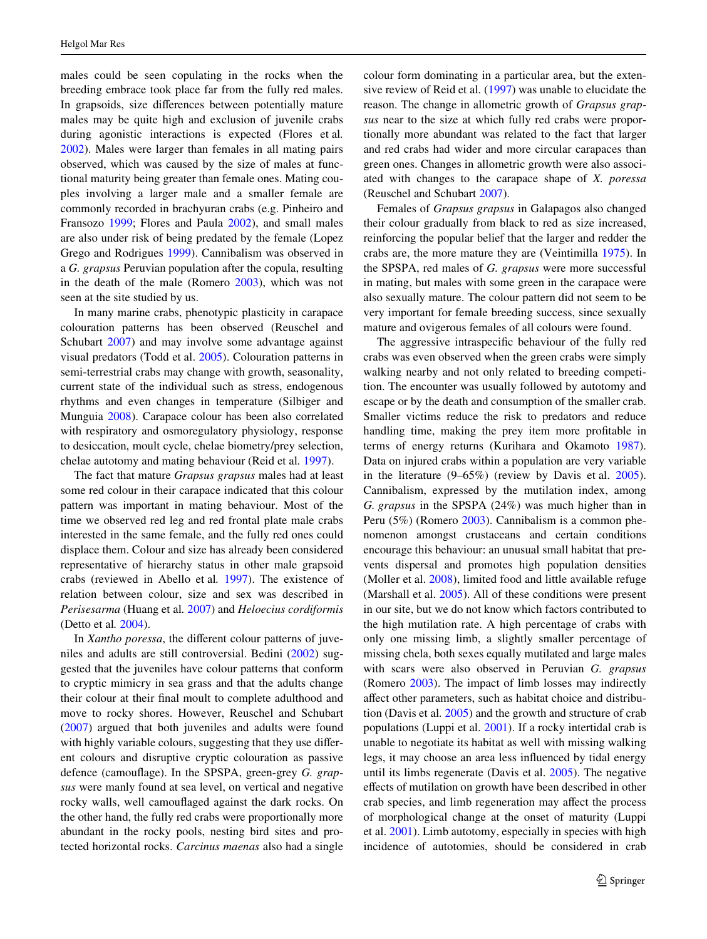males could be seen copulating in the rocks when the breeding embrace took place far from the fully red males. In grapsoids, size differences between potentially mature males may be quite high and exclusion of juvenile crabs during agonistic interactions is expected (Flores et al*.* [2002](#page-9-10)). Males were larger than females in all mating pairs observed, which was caused by the size of males at functional maturity being greater than female ones. Mating couples involving a larger male and a smaller female are commonly recorded in brachyuran crabs (e.g. Pinheiro and Fransozo [1999;](#page-10-14) Flores and Paula [2002\)](#page-9-11), and small males are also under risk of being predated by the female (Lopez Grego and Rodrigues [1999\)](#page-9-17). Cannibalism was observed in a *G. grapsus* Peruvian population after the copula, resulting in the death of the male (Romero [2003\)](#page-10-3), which was not seen at the site studied by us.

In many marine crabs, phenotypic plasticity in carapace colouration patterns has been observed (Reuschel and Schubart [2007\)](#page-10-15) and may involve some advantage against visual predators (Todd et al. [2005](#page-10-16)). Colouration patterns in semi-terrestrial crabs may change with growth, seasonality, current state of the individual such as stress, endogenous rhythms and even changes in temperature (Silbiger and Munguia [2008\)](#page-10-17). Carapace colour has been also correlated with respiratory and osmoregulatory physiology, response to desiccation, moult cycle, chelae biometry/prey selection, chelae autotomy and mating behaviour (Reid et al*.* [1997\)](#page-10-18).

The fact that mature *Grapsus grapsus* males had at least some red colour in their carapace indicated that this colour pattern was important in mating behaviour. Most of the time we observed red leg and red frontal plate male crabs interested in the same female, and the fully red ones could displace them. Colour and size has already been considered representative of hierarchy status in other male grapsoid crabs (reviewed in Abello et al*.* [1997\)](#page-9-20). The existence of relation between colour, size and sex was described in *Perisesarma* (Huang et al*.* [2007\)](#page-9-21) and *Heloecius cordiformis* (Detto et al*.* [2004\)](#page-9-22).

In *Xantho poressa*, the different colour patterns of juveniles and adults are still controversial. Bedini [\(2002](#page-9-23)) suggested that the juveniles have colour patterns that conform to cryptic mimicry in sea grass and that the adults change their colour at their final moult to complete adulthood and move to rocky shores. However, Reuschel and Schubart [\(2007](#page-10-15)) argued that both juveniles and adults were found with highly variable colours, suggesting that they use different colours and disruptive cryptic colouration as passive defence (camouflage). In the SPSPA, green-grey *G. grapsus* were manly found at sea level, on vertical and negative rocky walls, well camouflaged against the dark rocks. On the other hand, the fully red crabs were proportionally more abundant in the rocky pools, nesting bird sites and protected horizontal rocks. *Carcinus maenas* also had a single colour form dominating in a particular area, but the extensive review of Reid et al*.* ([1997](#page-10-18)) was unable to elucidate the reason. The change in allometric growth of *Grapsus grapsus* near to the size at which fully red crabs were proportionally more abundant was related to the fact that larger and red crabs had wider and more circular carapaces than green ones. Changes in allometric growth were also associated with changes to the carapace shape of *X. poressa* (Reuschel and Schubart [2007\)](#page-10-15).

Females of *Grapsus grapsus* in Galapagos also changed their colour gradually from black to red as size increased, reinforcing the popular belief that the larger and redder the crabs are, the more mature they are (Veintimilla [1975\)](#page-10-12). In the SPSPA, red males of *G. grapsus* were more successful in mating, but males with some green in the carapace were also sexually mature. The colour pattern did not seem to be very important for female breeding success, since sexually mature and ovigerous females of all colours were found.

The aggressive intraspecific behaviour of the fully red crabs was even observed when the green crabs were simply walking nearby and not only related to breeding competition. The encounter was usually followed by autotomy and escape or by the death and consumption of the smaller crab. Smaller victims reduce the risk to predators and reduce handling time, making the prey item more profitable in terms of energy returns (Kurihara and Okamoto [1987](#page-9-24)). Data on injured crabs within a population are very variable in the literature (9–65%) (review by Davis et al. [2005](#page-9-25)). Cannibalism, expressed by the mutilation index, among *G. grapsus* in the SPSPA (24%) was much higher than in Peru (5%) (Romero [2003\)](#page-10-3). Cannibalism is a common phenomenon amongst crustaceans and certain conditions encourage this behaviour: an unusual small habitat that prevents dispersal and promotes high population densities (Moller et al. [2008](#page-10-19)), limited food and little available refuge (Marshall et al. [2005\)](#page-10-20). All of these conditions were present in our site, but we do not know which factors contributed to the high mutilation rate. A high percentage of crabs with only one missing limb, a slightly smaller percentage of missing chela, both sexes equally mutilated and large males with scars were also observed in Peruvian *G. grapsus* (Romero [2003](#page-10-3)). The impact of limb losses may indirectly affect other parameters, such as habitat choice and distribution (Davis et al*.* [2005\)](#page-9-25) and the growth and structure of crab populations (Luppi et al. [2001\)](#page-9-26). If a rocky intertidal crab is unable to negotiate its habitat as well with missing walking legs, it may choose an area less influenced by tidal energy until its limbs regenerate (Davis et al. [2005\)](#page-9-25). The negative effects of mutilation on growth have been described in other crab species, and limb regeneration may affect the process of morphological change at the onset of maturity (Luppi et al. [2001\)](#page-9-26). Limb autotomy, especially in species with high incidence of autotomies, should be considered in crab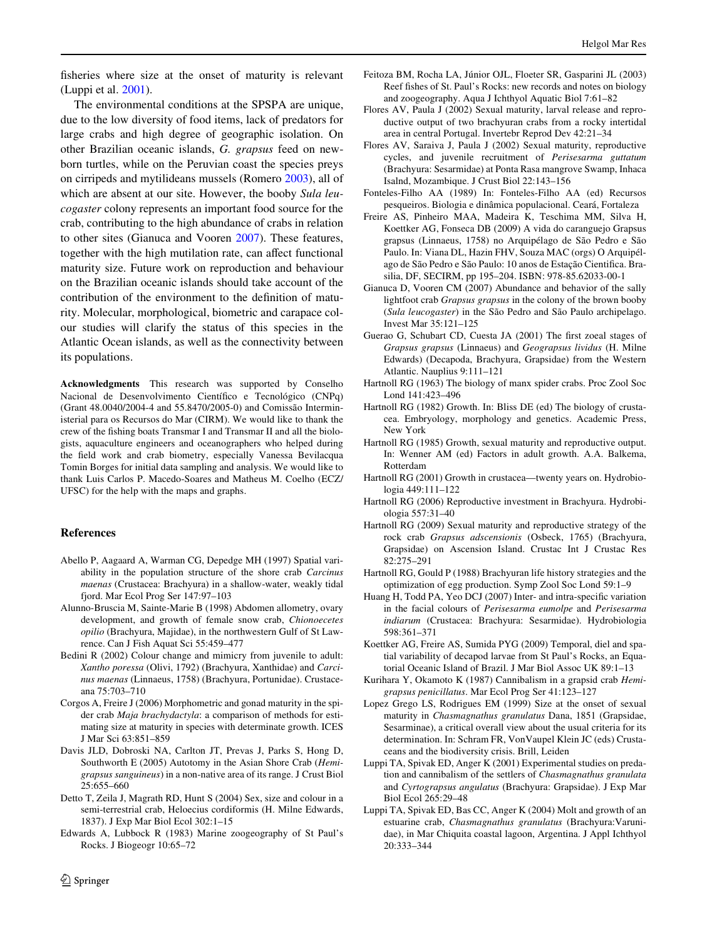fisheries where size at the onset of maturity is relevant (Luppi et al. [2001\)](#page-9-26).

The environmental conditions at the SPSPA are unique, due to the low diversity of food items, lack of predators for large crabs and high degree of geographic isolation. On other Brazilian oceanic islands, *G. grapsus* feed on newborn turtles, while on the Peruvian coast the species preys on cirripeds and mytilideans mussels (Romero [2003\)](#page-10-3), all of which are absent at our site. However, the booby *Sula leucogaster* colony represents an important food source for the crab, contributing to the high abundance of crabs in relation to other sites (Gianuca and Vooren [2007\)](#page-9-4). These features, together with the high mutilation rate, can affect functional maturity size. Future work on reproduction and behaviour on the Brazilian oceanic islands should take account of the contribution of the environment to the definition of maturity. Molecular, morphological, biometric and carapace colour studies will clarify the status of this species in the Atlantic Ocean islands, as well as the connectivity between its populations.

**Acknowledgments** This research was supported by Conselho Nacional de Desenvolvimento Científico e Tecnológico (CNPq) (Grant 48.0040/2004-4 and 55.8470/2005-0) and Comissão Interministerial para os Recursos do Mar (CIRM). We would like to thank the crew of the fishing boats Transmar I and Transmar II and all the biologists, aquaculture engineers and oceanographers who helped during the field work and crab biometry, especially Vanessa Bevilacqua Tomin Borges for initial data sampling and analysis. We would like to thank Luis Carlos P. Macedo-Soares and Matheus M. Coelho (ECZ/ UFSC) for the help with the maps and graphs.

# **References**

- <span id="page-9-20"></span>Abello P, Aagaard A, Warman CG, Depedge MH (1997) Spatial variability in the population structure of the shore crab *Carcinus maenas* (Crustacea: Brachyura) in a shallow-water, weakly tidal fjord. Mar Ecol Prog Ser 147:97–103
- <span id="page-9-18"></span>Alunno-Bruscia M, Sainte-Marie B (1998) Abdomen allometry, ovary development, and growth of female snow crab, *Chionoecetes opilio* (Brachyura, Majidae), in the northwestern Gulf of St Lawrence. Can J Fish Aquat Sci 55:459–477
- <span id="page-9-23"></span>Bedini R (2002) Colour change and mimicry from juvenile to adult: *Xantho poressa* (Olivi, 1792) (Brachyura, Xanthidae) and *Carcinus maenas* (Linnaeus, 1758) (Brachyura, Portunidae). Crustaceana 75:703–710
- <span id="page-9-9"></span>Corgos A, Freire J (2006) Morphometric and gonad maturity in the spider crab *Maja brachydactyla*: a comparison of methods for estimating size at maturity in species with determinate growth. ICES J Mar Sci 63:851–859
- <span id="page-9-25"></span>Davis JLD, Dobroski NA, Carlton JT, Prevas J, Parks S, Hong D, Southworth E (2005) Autotomy in the Asian Shore Crab (*Hemigrapsus sanguineus*) in a non-native area of its range. J Crust Biol 25:655–660
- <span id="page-9-22"></span>Detto T, Zeila J, Magrath RD, Hunt S (2004) Sex, size and colour in a semi-terrestrial crab, Heloecius cordiformis (H. Milne Edwards, 1837). J Exp Mar Biol Ecol 302:1–15
- <span id="page-9-15"></span>Edwards A, Lubbock R (1983) Marine zoogeography of St Paul's Rocks. J Biogeogr 10:65–72
- <span id="page-9-14"></span>Feitoza BM, Rocha LA, Júnior OJL, Floeter SR, Gasparini JL (2003) Reef fishes of St. Paul's Rocks: new records and notes on biology and zoogeography. Aqua J Ichthyol Aquatic Biol 7:61–82
- <span id="page-9-11"></span>Flores AV, Paula J (2002) Sexual maturity, larval release and reproductive output of two brachyuran crabs from a rocky intertidal area in central Portugal. Invertebr Reprod Dev 42:21–34
- <span id="page-9-10"></span>Flores AV, Saraiva J, Paula J (2002) Sexual maturity, reproductive cycles, and juvenile recruitment of *Perisesarma guttatum* (Brachyura: Sesarmidae) at Ponta Rasa mangrove Swamp, Inhaca Isalnd, Mozambique. J Crust Biol 22:143–156
- <span id="page-9-16"></span>Fonteles-Filho AA (1989) In: Fonteles-Filho AA (ed) Recursos pesqueiros. Biologia e dinâmica populacional. Ceará, Fortaleza
- <span id="page-9-2"></span>Freire AS, Pinheiro MAA, Madeira K, Teschima MM, Silva H, Koettker AG, Fonseca DB (2009) A vida do caranguejo Grapsus grapsus (Linnaeus, 1758) no Arquipélago de São Pedro e São Paulo. In: Viana DL, Hazin FHV, Souza MAC (orgs) O Arquipélago de São Pedro e São Paulo: 10 anos de Estação Cientifica. Brasilia, DF, SECIRM, pp 195–204. ISBN: 978-85.62033-00-1
- <span id="page-9-4"></span>Gianuca D, Vooren CM (2007) Abundance and behavior of the sally lightfoot crab *Grapsus grapsus* in the colony of the brown booby (*Sula leucogaster*) in the São Pedro and São Paulo archipelago. Invest Mar 35:121–125
- <span id="page-9-1"></span>Guerao G, Schubart CD, Cuesta JA (2001) The first zoeal stages of *Grapsus grapsus* (Linnaeus) and *Geograpsus lividus* (H. Milne Edwards) (Decapoda, Brachyura, Grapsidae) from the Western Atlantic. Nauplius 9:111–121
- <span id="page-9-7"></span>Hartnoll RG (1963) The biology of manx spider crabs. Proc Zool Soc Lond 141:423–496
- <span id="page-9-19"></span>Hartnoll RG (1982) Growth. In: Bliss DE (ed) The biology of crustacea. Embryology, morphology and genetics. Academic Press, New York
- <span id="page-9-6"></span>Hartnoll RG (1985) Growth, sexual maturity and reproductive output. In: Wenner AM (ed) Factors in adult growth. A.A. Balkema, Rotterdam
- <span id="page-9-8"></span>Hartnoll RG (2001) Growth in crustacea—twenty years on. Hydrobiologia 449:111–122
- <span id="page-9-13"></span>Hartnoll RG (2006) Reproductive investment in Brachyura. Hydrobiologia 557:31–40
- <span id="page-9-0"></span>Hartnoll RG (2009) Sexual maturity and reproductive strategy of the rock crab *Grapsus adscensionis* (Osbeck, 1765) (Brachyura, Grapsidae) on Ascension Island. Crustac Int J Crustac Res 82:275–291
- <span id="page-9-5"></span>Hartnoll RG, Gould P (1988) Brachyuran life history strategies and the optimization of egg production. Symp Zool Soc Lond 59:1–9
- <span id="page-9-21"></span>Huang H, Todd PA, Yeo DCJ (2007) Inter- and intra-specific variation in the facial colours of *Perisesarma eumolpe* and *Perisesarma indiarum* (Crustacea: Brachyura: Sesarmidae). Hydrobiologia 598:361–371
- <span id="page-9-3"></span>Koettker AG, Freire AS, Sumida PYG (2009) Temporal, diel and spatial variability of decapod larvae from St Paul's Rocks, an Equatorial Oceanic Island of Brazil. J Mar Biol Assoc UK 89:1–13
- <span id="page-9-24"></span>Kurihara Y, Okamoto K (1987) Cannibalism in a grapsid crab *Hemigrapsus penicillatus*. Mar Ecol Prog Ser 41:123–127
- <span id="page-9-17"></span>Lopez Grego LS, Rodrigues EM (1999) Size at the onset of sexual maturity in *Chasmagnathus granulatus* Dana, 1851 (Grapsidae, Sesarminae), a critical overall view about the usual criteria for its determination. In: Schram FR, VonVaupel Klein JC (eds) Crustaceans and the biodiversity crisis. Brill, Leiden
- <span id="page-9-26"></span>Luppi TA, Spivak ED, Anger K (2001) Experimental studies on predation and cannibalism of the settlers of *Chasmagnathus granulata* and *Cyrtograpsus angulatus* (Brachyura: Grapsidae). J Exp Mar Biol Ecol 265:29–48
- <span id="page-9-12"></span>Luppi TA, Spivak ED, Bas CC, Anger K (2004) Molt and growth of an estuarine crab, *Chasmagnathus granulatus* (Brachyura:Varunidae), in Mar Chiquita coastal lagoon, Argentina. J Appl Ichthyol 20:333–344